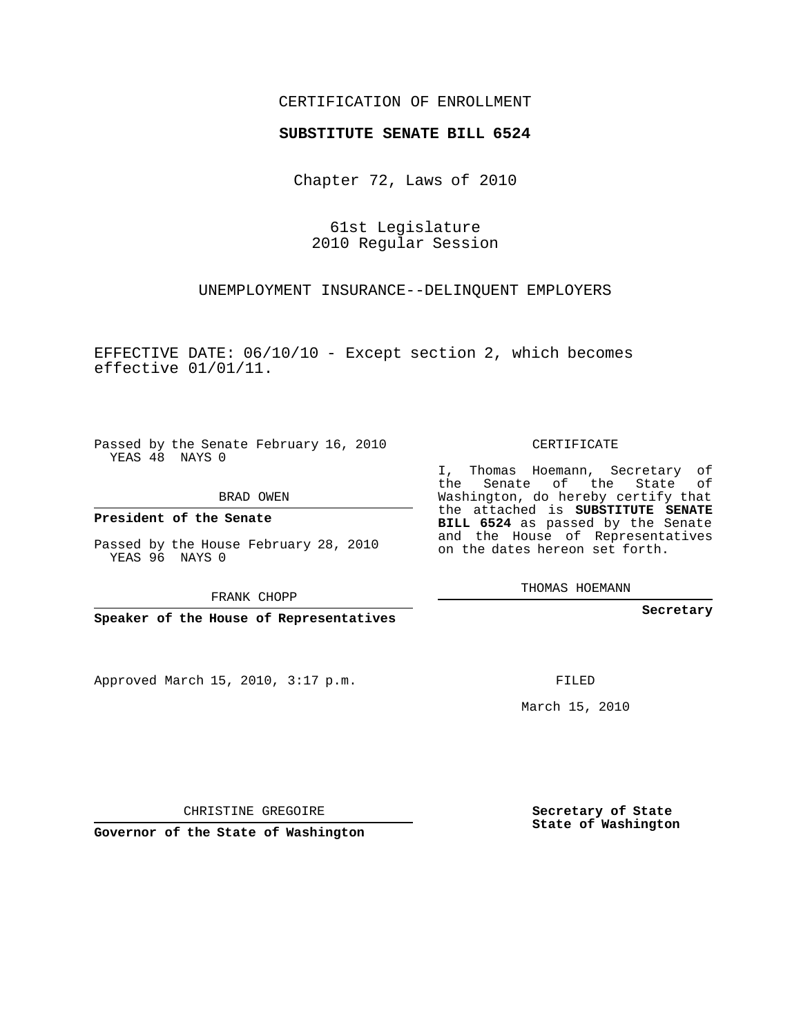## CERTIFICATION OF ENROLLMENT

## **SUBSTITUTE SENATE BILL 6524**

Chapter 72, Laws of 2010

61st Legislature 2010 Regular Session

UNEMPLOYMENT INSURANCE--DELINQUENT EMPLOYERS

EFFECTIVE DATE: 06/10/10 - Except section 2, which becomes effective 01/01/11.

Passed by the Senate February 16, 2010 YEAS 48 NAYS 0

BRAD OWEN

**President of the Senate**

Passed by the House February 28, 2010 YEAS 96 NAYS 0

FRANK CHOPP

**Speaker of the House of Representatives**

Approved March 15, 2010, 3:17 p.m.

CERTIFICATE

I, Thomas Hoemann, Secretary of the Senate of the State of Washington, do hereby certify that the attached is **SUBSTITUTE SENATE BILL 6524** as passed by the Senate and the House of Representatives on the dates hereon set forth.

THOMAS HOEMANN

**Secretary**

FILED

March 15, 2010

**Secretary of State State of Washington**

CHRISTINE GREGOIRE

**Governor of the State of Washington**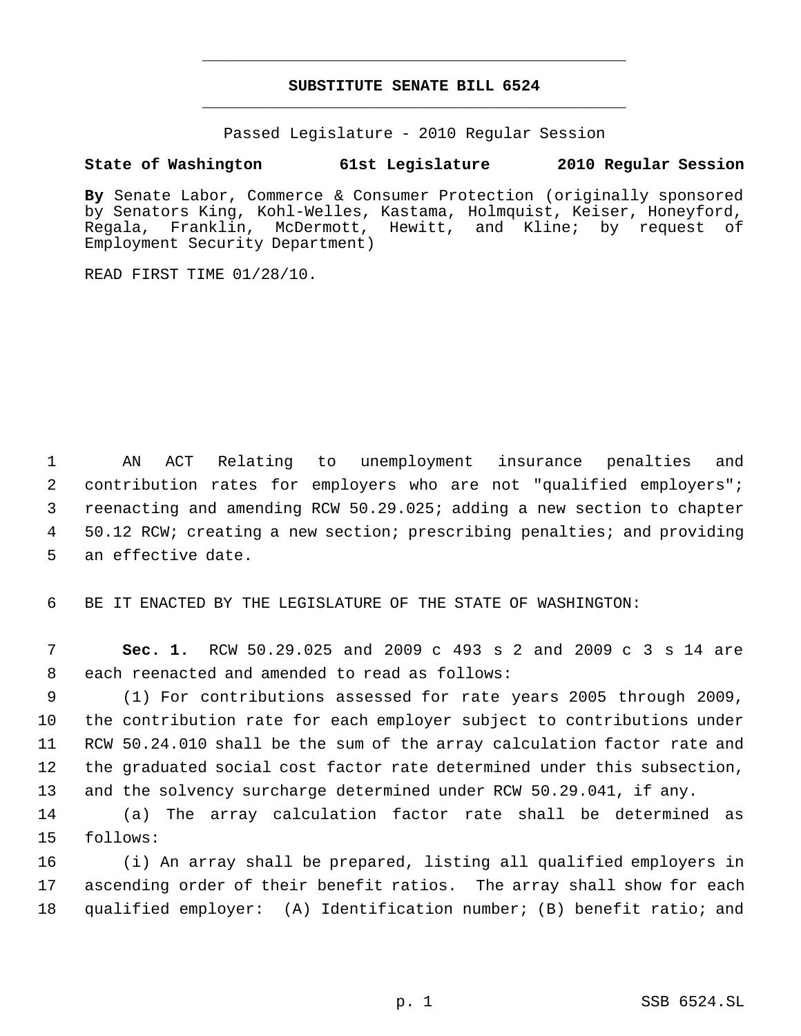## **SUBSTITUTE SENATE BILL 6524** \_\_\_\_\_\_\_\_\_\_\_\_\_\_\_\_\_\_\_\_\_\_\_\_\_\_\_\_\_\_\_\_\_\_\_\_\_\_\_\_\_\_\_\_\_

\_\_\_\_\_\_\_\_\_\_\_\_\_\_\_\_\_\_\_\_\_\_\_\_\_\_\_\_\_\_\_\_\_\_\_\_\_\_\_\_\_\_\_\_\_

Passed Legislature - 2010 Regular Session

## **State of Washington 61st Legislature 2010 Regular Session**

**By** Senate Labor, Commerce & Consumer Protection (originally sponsored by Senators King, Kohl-Welles, Kastama, Holmquist, Keiser, Honeyford, Regala, Franklin, McDermott, Hewitt, and Kline; by request of Employment Security Department)

READ FIRST TIME 01/28/10.

 AN ACT Relating to unemployment insurance penalties and contribution rates for employers who are not "qualified employers"; reenacting and amending RCW 50.29.025; adding a new section to chapter 50.12 RCW; creating a new section; prescribing penalties; and providing an effective date.

BE IT ENACTED BY THE LEGISLATURE OF THE STATE OF WASHINGTON:

 **Sec. 1.** RCW 50.29.025 and 2009 c 493 s 2 and 2009 c 3 s 14 are each reenacted and amended to read as follows:

 (1) For contributions assessed for rate years 2005 through 2009, the contribution rate for each employer subject to contributions under RCW 50.24.010 shall be the sum of the array calculation factor rate and the graduated social cost factor rate determined under this subsection, and the solvency surcharge determined under RCW 50.29.041, if any.

 (a) The array calculation factor rate shall be determined as follows:

 (i) An array shall be prepared, listing all qualified employers in ascending order of their benefit ratios. The array shall show for each qualified employer: (A) Identification number; (B) benefit ratio; and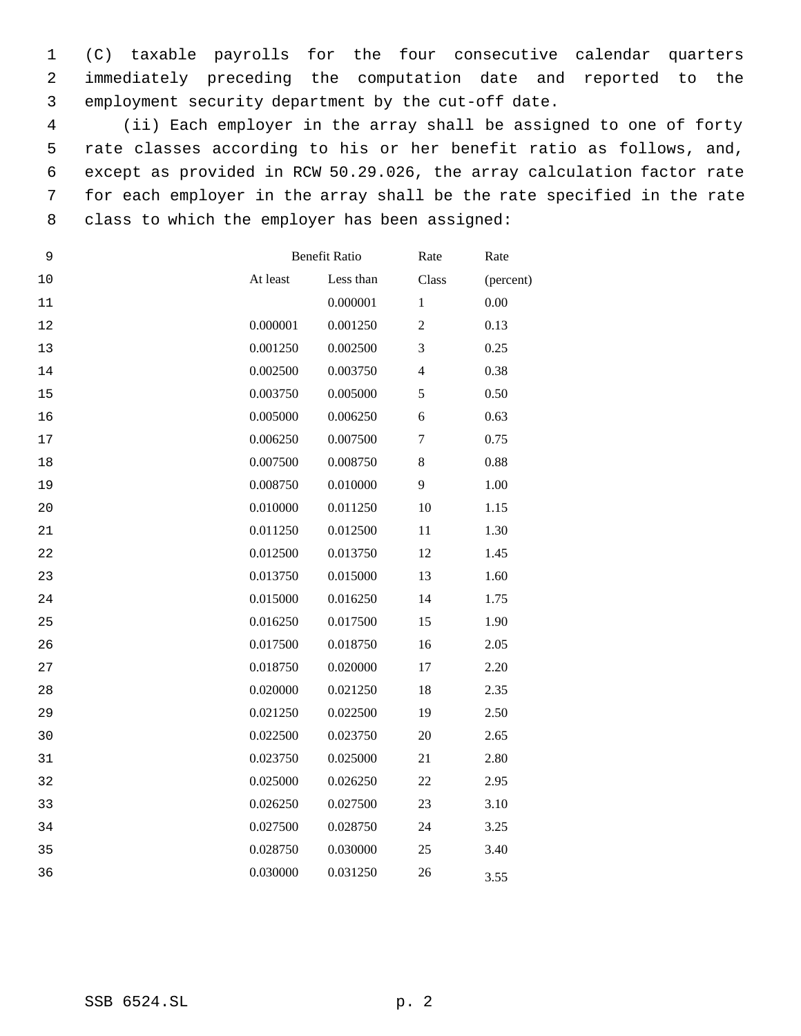(C) taxable payrolls for the four consecutive calendar quarters immediately preceding the computation date and reported to the employment security department by the cut-off date.

 (ii) Each employer in the array shall be assigned to one of forty rate classes according to his or her benefit ratio as follows, and, except as provided in RCW 50.29.026, the array calculation factor rate for each employer in the array shall be the rate specified in the rate class to which the employer has been assigned:

| 9      | <b>Benefit Ratio</b> | Rate      | Rate           |           |
|--------|----------------------|-----------|----------------|-----------|
| 10     | At least             | Less than | Class          | (percent) |
| 11     |                      | 0.000001  | $\mathbf{1}$   | 0.00      |
| 12     | 0.000001             | 0.001250  | $\mathfrak 2$  | 0.13      |
| 13     | 0.001250             | 0.002500  | 3              | 0.25      |
| 14     | 0.002500             | 0.003750  | $\overline{4}$ | 0.38      |
| 15     | 0.003750             | 0.005000  | $\sqrt{5}$     | 0.50      |
| 16     | 0.005000             | 0.006250  | 6              | 0.63      |
| 17     | 0.006250             | 0.007500  | $\tau$         | 0.75      |
| $18\,$ | 0.007500             | 0.008750  | $\,$ 8 $\,$    | 0.88      |
| 19     | 0.008750             | 0.010000  | 9              | 1.00      |
| 20     | 0.010000             | 0.011250  | 10             | 1.15      |
| 21     | 0.011250             | 0.012500  | 11             | 1.30      |
| 22     | 0.012500             | 0.013750  | 12             | 1.45      |
| 23     | 0.013750             | 0.015000  | 13             | 1.60      |
| 24     | 0.015000             | 0.016250  | 14             | 1.75      |
| 25     | 0.016250             | 0.017500  | 15             | 1.90      |
| 26     | 0.017500             | 0.018750  | 16             | 2.05      |
| 27     | 0.018750             | 0.020000  | 17             | 2.20      |
| 28     | 0.020000             | 0.021250  | 18             | 2.35      |
| 29     | 0.021250             | 0.022500  | 19             | 2.50      |
| 30     | 0.022500             | 0.023750  | $20\,$         | 2.65      |
| 31     | 0.023750             | 0.025000  | 21             | 2.80      |
| 32     | 0.025000             | 0.026250  | 22             | 2.95      |
| 33     | 0.026250             | 0.027500  | 23             | 3.10      |
| 34     | 0.027500             | 0.028750  | 24             | 3.25      |
| 35     | 0.028750             | 0.030000  | 25             | 3.40      |
| 36     | 0.030000             | 0.031250  | 26             | 3.55      |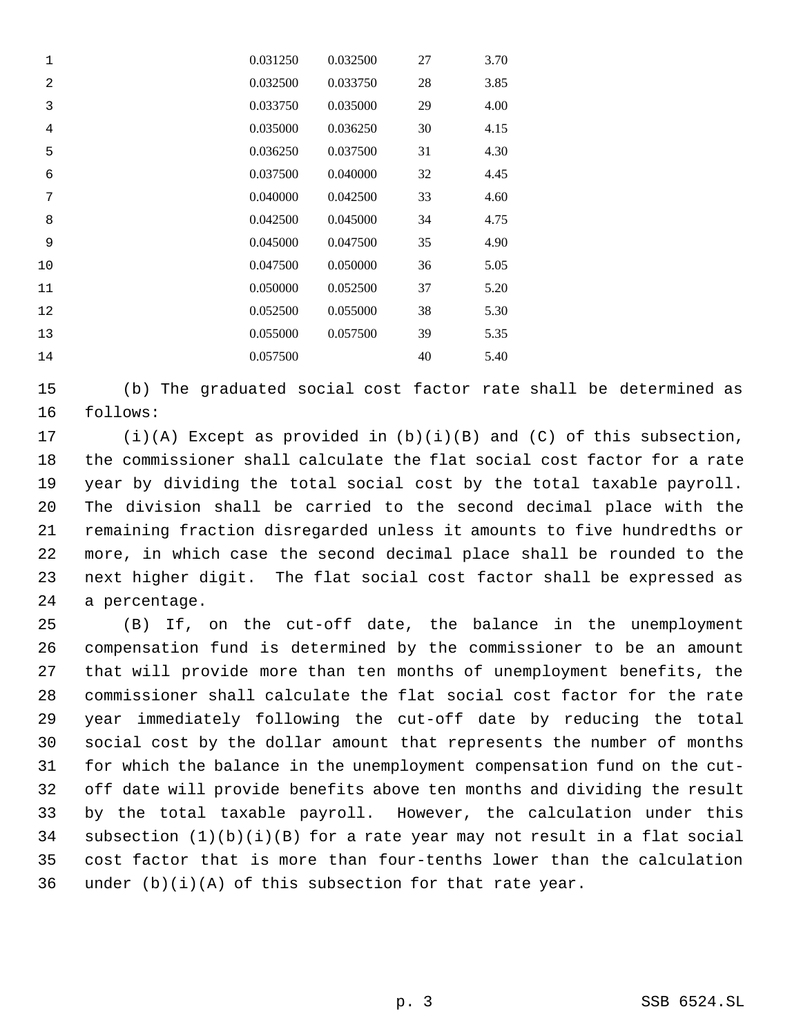| $\mathbf 1$    | 0.031250 | 0.032500 | 27 | 3.70 |
|----------------|----------|----------|----|------|
| $\overline{a}$ | 0.032500 | 0.033750 | 28 | 3.85 |
| 3              | 0.033750 | 0.035000 | 29 | 4.00 |
| $\overline{4}$ | 0.035000 | 0.036250 | 30 | 4.15 |
| 5              | 0.036250 | 0.037500 | 31 | 4.30 |
| 6              | 0.037500 | 0.040000 | 32 | 4.45 |
| 7              | 0.040000 | 0.042500 | 33 | 4.60 |
| 8              | 0.042500 | 0.045000 | 34 | 4.75 |
| 9              | 0.045000 | 0.047500 | 35 | 4.90 |
| 10             | 0.047500 | 0.050000 | 36 | 5.05 |
| 11             | 0.050000 | 0.052500 | 37 | 5.20 |
| 12             | 0.052500 | 0.055000 | 38 | 5.30 |
| 13             | 0.055000 | 0.057500 | 39 | 5.35 |
| 14             | 0.057500 |          | 40 | 5.40 |

 (b) The graduated social cost factor rate shall be determined as follows:

 (i)(A) Except as provided in (b)(i)(B) and (C) of this subsection, the commissioner shall calculate the flat social cost factor for a rate year by dividing the total social cost by the total taxable payroll. The division shall be carried to the second decimal place with the remaining fraction disregarded unless it amounts to five hundredths or more, in which case the second decimal place shall be rounded to the next higher digit. The flat social cost factor shall be expressed as a percentage.

 (B) If, on the cut-off date, the balance in the unemployment compensation fund is determined by the commissioner to be an amount that will provide more than ten months of unemployment benefits, the commissioner shall calculate the flat social cost factor for the rate year immediately following the cut-off date by reducing the total social cost by the dollar amount that represents the number of months for which the balance in the unemployment compensation fund on the cut- off date will provide benefits above ten months and dividing the result by the total taxable payroll. However, the calculation under this subsection (1)(b)(i)(B) for a rate year may not result in a flat social cost factor that is more than four-tenths lower than the calculation 36 under  $(b)(i)(A)$  of this subsection for that rate year.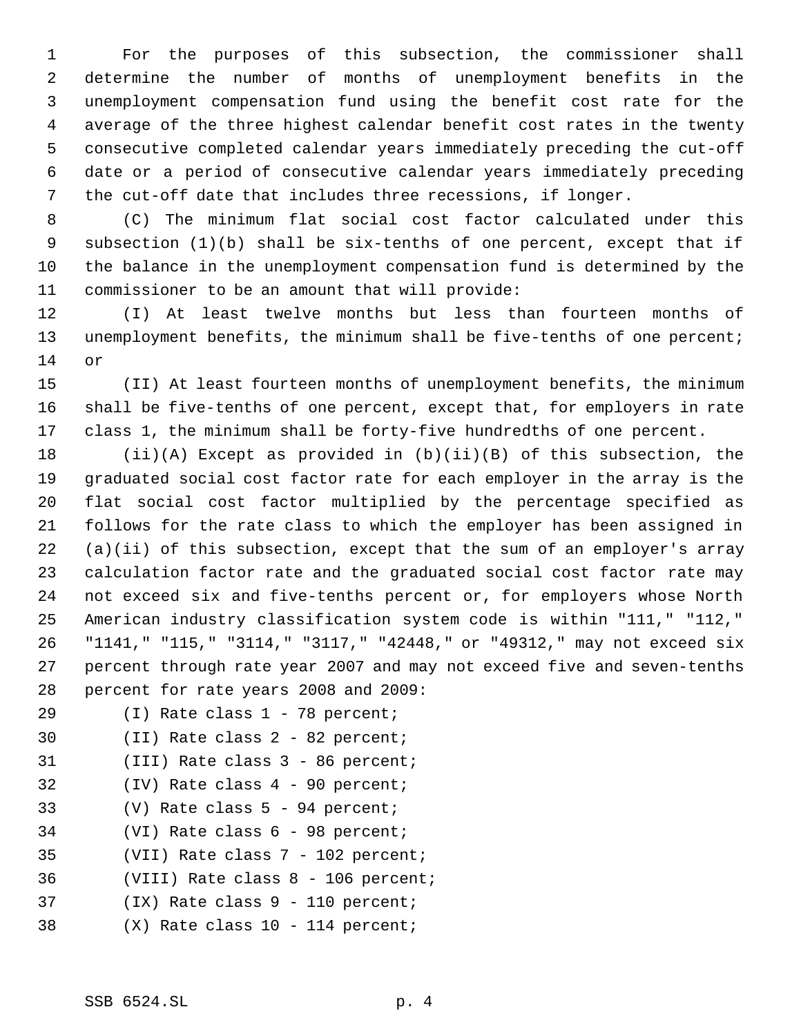For the purposes of this subsection, the commissioner shall determine the number of months of unemployment benefits in the unemployment compensation fund using the benefit cost rate for the average of the three highest calendar benefit cost rates in the twenty consecutive completed calendar years immediately preceding the cut-off date or a period of consecutive calendar years immediately preceding the cut-off date that includes three recessions, if longer.

 (C) The minimum flat social cost factor calculated under this subsection (1)(b) shall be six-tenths of one percent, except that if the balance in the unemployment compensation fund is determined by the commissioner to be an amount that will provide:

 (I) At least twelve months but less than fourteen months of 13 unemployment benefits, the minimum shall be five-tenths of one percent; or

 (II) At least fourteen months of unemployment benefits, the minimum shall be five-tenths of one percent, except that, for employers in rate class 1, the minimum shall be forty-five hundredths of one percent.

 (ii)(A) Except as provided in (b)(ii)(B) of this subsection, the graduated social cost factor rate for each employer in the array is the flat social cost factor multiplied by the percentage specified as follows for the rate class to which the employer has been assigned in (a)(ii) of this subsection, except that the sum of an employer's array calculation factor rate and the graduated social cost factor rate may not exceed six and five-tenths percent or, for employers whose North American industry classification system code is within "111," "112," "1141," "115," "3114," "3117," "42448," or "49312," may not exceed six percent through rate year 2007 and may not exceed five and seven-tenths percent for rate years 2008 and 2009:

- (I) Rate class 1 78 percent;
- (II) Rate class 2 82 percent;
- (III) Rate class 3 86 percent;
- (IV) Rate class 4 90 percent;
- (V) Rate class 5 94 percent;
- (VI) Rate class 6 98 percent;
- (VII) Rate class 7 102 percent;
- (VIII) Rate class 8 106 percent;
- (IX) Rate class 9 110 percent;
- (X) Rate class 10 114 percent;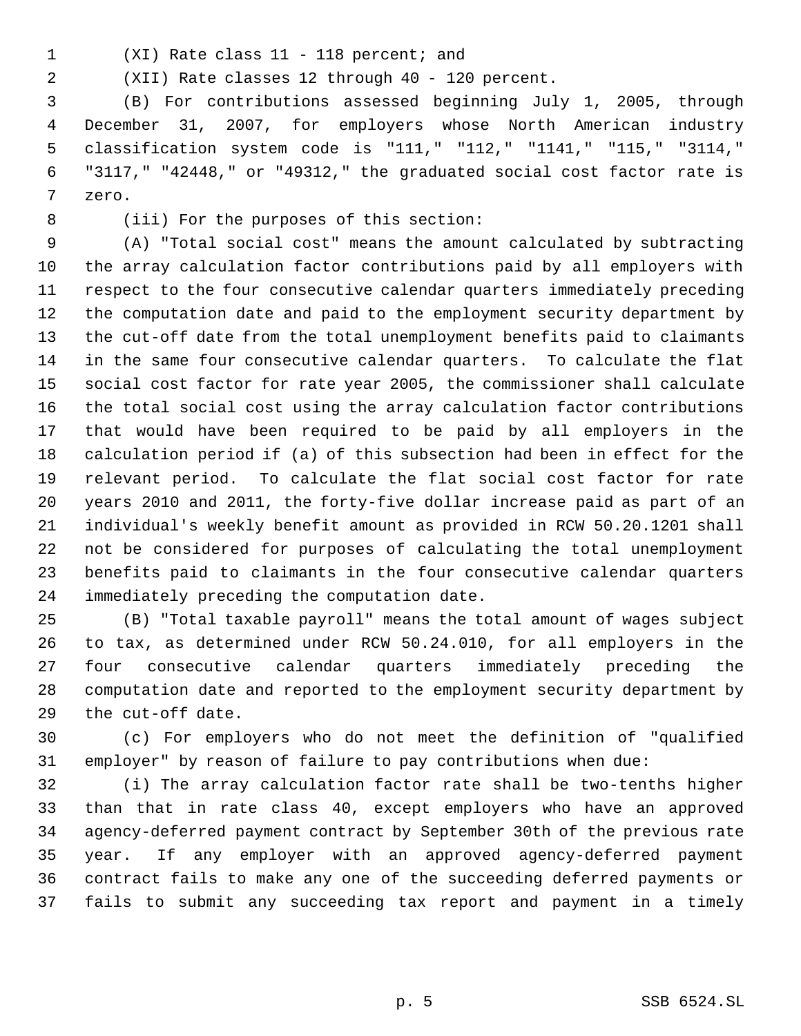- 
- (XI) Rate class 11 118 percent; and

(XII) Rate classes 12 through 40 - 120 percent.

 (B) For contributions assessed beginning July 1, 2005, through December 31, 2007, for employers whose North American industry classification system code is "111," "112," "1141," "115," "3114," "3117," "42448," or "49312," the graduated social cost factor rate is zero.

(iii) For the purposes of this section:

 (A) "Total social cost" means the amount calculated by subtracting the array calculation factor contributions paid by all employers with respect to the four consecutive calendar quarters immediately preceding the computation date and paid to the employment security department by the cut-off date from the total unemployment benefits paid to claimants in the same four consecutive calendar quarters. To calculate the flat social cost factor for rate year 2005, the commissioner shall calculate the total social cost using the array calculation factor contributions that would have been required to be paid by all employers in the calculation period if (a) of this subsection had been in effect for the relevant period. To calculate the flat social cost factor for rate years 2010 and 2011, the forty-five dollar increase paid as part of an individual's weekly benefit amount as provided in RCW 50.20.1201 shall not be considered for purposes of calculating the total unemployment benefits paid to claimants in the four consecutive calendar quarters immediately preceding the computation date.

 (B) "Total taxable payroll" means the total amount of wages subject to tax, as determined under RCW 50.24.010, for all employers in the four consecutive calendar quarters immediately preceding the computation date and reported to the employment security department by the cut-off date.

 (c) For employers who do not meet the definition of "qualified employer" by reason of failure to pay contributions when due:

 (i) The array calculation factor rate shall be two-tenths higher than that in rate class 40, except employers who have an approved agency-deferred payment contract by September 30th of the previous rate year. If any employer with an approved agency-deferred payment contract fails to make any one of the succeeding deferred payments or fails to submit any succeeding tax report and payment in a timely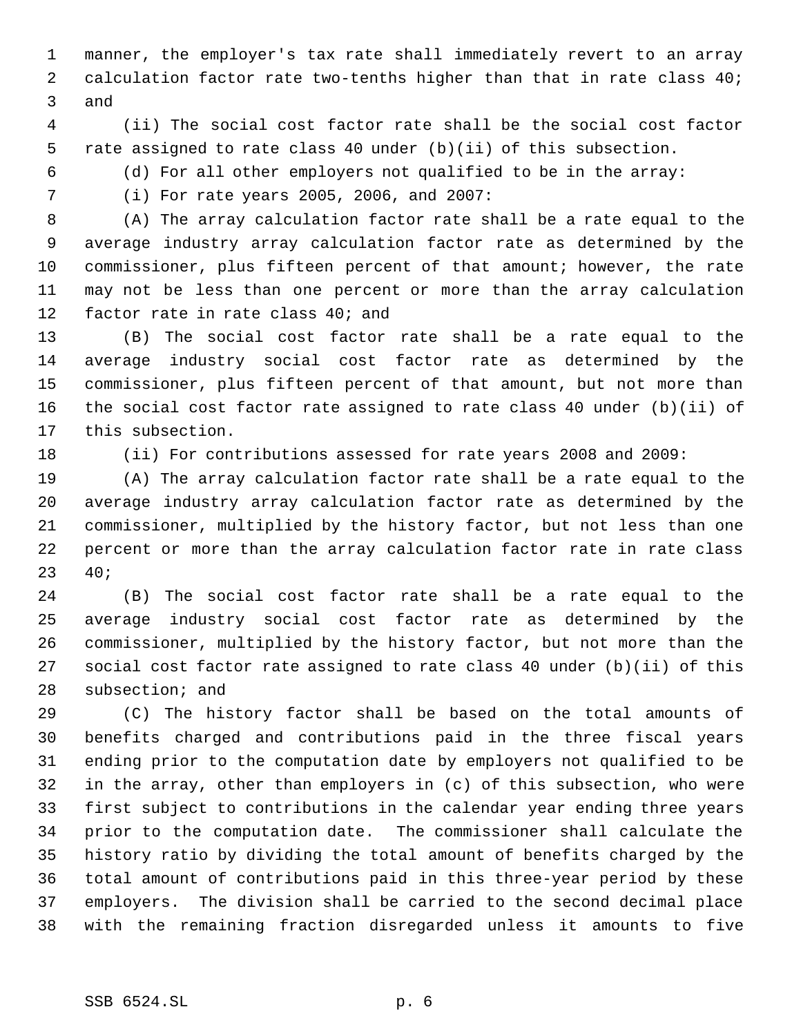manner, the employer's tax rate shall immediately revert to an array 2 calculation factor rate two-tenths higher than that in rate class 40; and

 (ii) The social cost factor rate shall be the social cost factor rate assigned to rate class 40 under (b)(ii) of this subsection.

(d) For all other employers not qualified to be in the array:

(i) For rate years 2005, 2006, and 2007:

 (A) The array calculation factor rate shall be a rate equal to the average industry array calculation factor rate as determined by the commissioner, plus fifteen percent of that amount; however, the rate may not be less than one percent or more than the array calculation factor rate in rate class 40; and

 (B) The social cost factor rate shall be a rate equal to the average industry social cost factor rate as determined by the commissioner, plus fifteen percent of that amount, but not more than the social cost factor rate assigned to rate class 40 under (b)(ii) of this subsection.

(ii) For contributions assessed for rate years 2008 and 2009:

 (A) The array calculation factor rate shall be a rate equal to the average industry array calculation factor rate as determined by the commissioner, multiplied by the history factor, but not less than one percent or more than the array calculation factor rate in rate class 40;

 (B) The social cost factor rate shall be a rate equal to the average industry social cost factor rate as determined by the commissioner, multiplied by the history factor, but not more than the social cost factor rate assigned to rate class 40 under (b)(ii) of this subsection; and

 (C) The history factor shall be based on the total amounts of benefits charged and contributions paid in the three fiscal years ending prior to the computation date by employers not qualified to be in the array, other than employers in (c) of this subsection, who were first subject to contributions in the calendar year ending three years prior to the computation date. The commissioner shall calculate the history ratio by dividing the total amount of benefits charged by the total amount of contributions paid in this three-year period by these employers. The division shall be carried to the second decimal place with the remaining fraction disregarded unless it amounts to five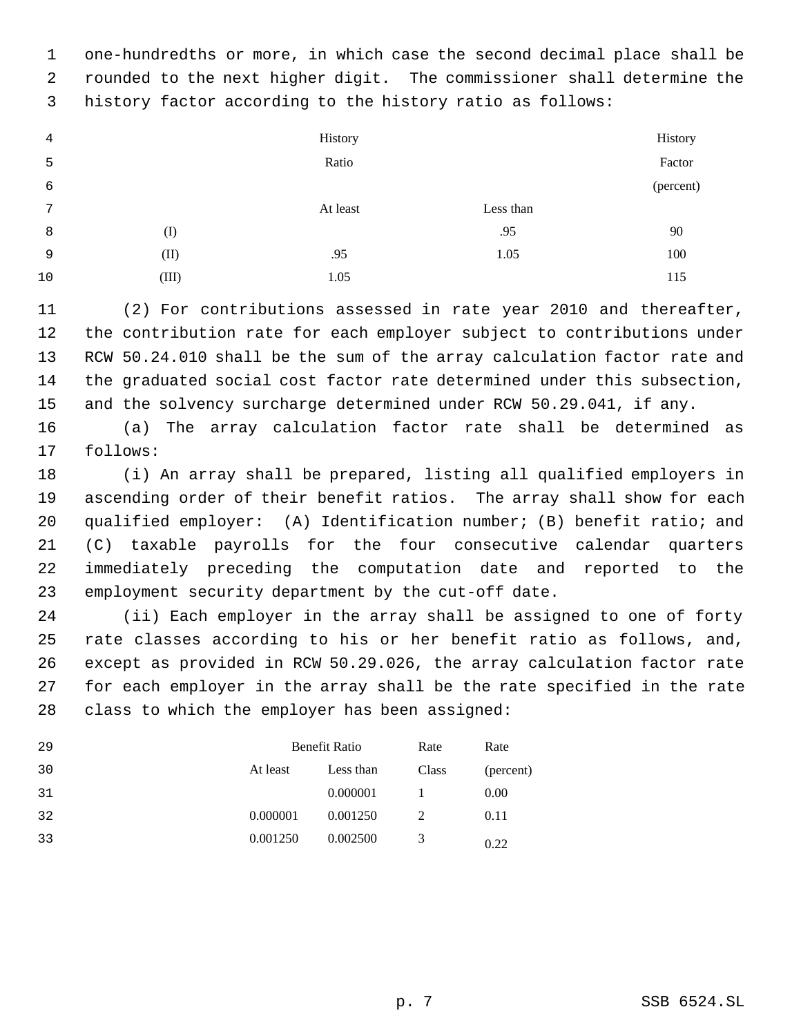one-hundredths or more, in which case the second decimal place shall be rounded to the next higher digit. The commissioner shall determine the history factor according to the history ratio as follows:

| 4  |              | History  |           | History   |
|----|--------------|----------|-----------|-----------|
| 5  |              | Ratio    |           | Factor    |
| 6  |              |          |           | (percent) |
| 7  |              | At least | Less than |           |
| 8  | $($ $\Gamma$ |          | .95       | 90        |
| 9  | (II)         | .95      | 1.05      | 100       |
| 10 | (III)        | 1.05     |           | 115       |

 (2) For contributions assessed in rate year 2010 and thereafter, the contribution rate for each employer subject to contributions under RCW 50.24.010 shall be the sum of the array calculation factor rate and the graduated social cost factor rate determined under this subsection, and the solvency surcharge determined under RCW 50.29.041, if any.

 (a) The array calculation factor rate shall be determined as follows:

 (i) An array shall be prepared, listing all qualified employers in ascending order of their benefit ratios. The array shall show for each qualified employer: (A) Identification number; (B) benefit ratio; and (C) taxable payrolls for the four consecutive calendar quarters immediately preceding the computation date and reported to the employment security department by the cut-off date.

 (ii) Each employer in the array shall be assigned to one of forty rate classes according to his or her benefit ratio as follows, and, except as provided in RCW 50.29.026, the array calculation factor rate for each employer in the array shall be the rate specified in the rate class to which the employer has been assigned:

| 29 |          | <b>Benefit Ratio</b> | Rate  | Rate      |
|----|----------|----------------------|-------|-----------|
| 30 | At least | Less than            | Class | (percent) |
| 31 |          | 0.000001             |       | 0.00      |
| 32 | 0.000001 | 0.001250             |       | 0.11      |
| 33 | 0.001250 | 0.002500             | 3     | 0.22      |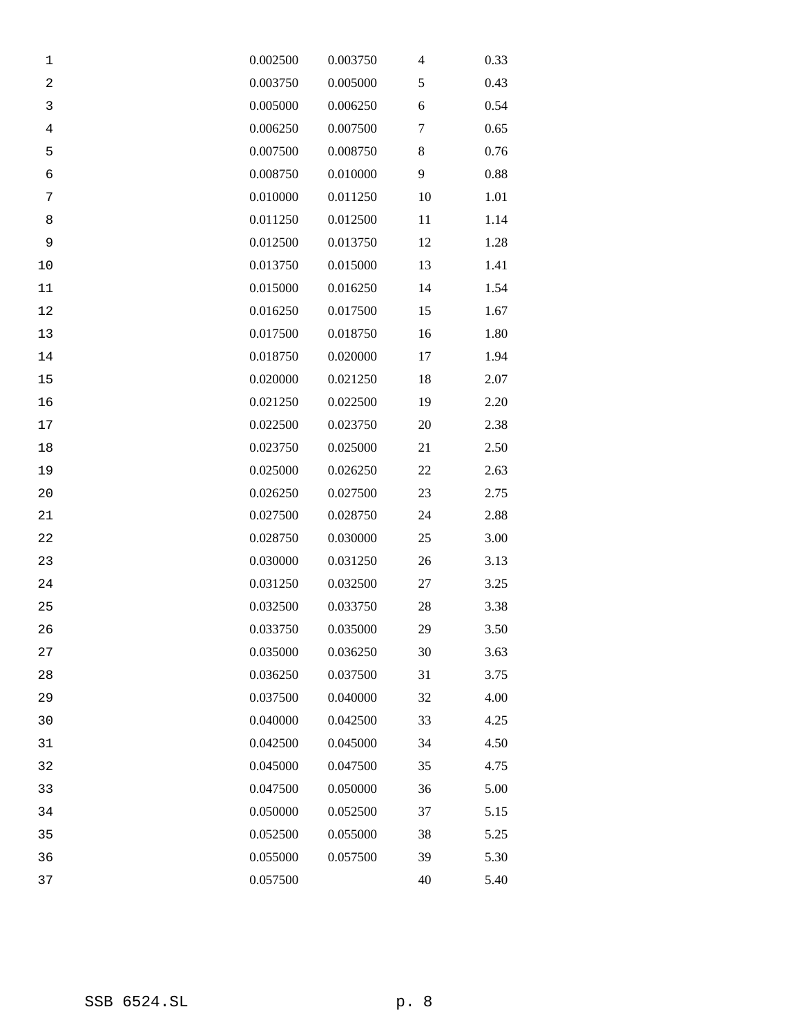| 1              | 0.002500 | 0.003750 | $\overline{\mathcal{A}}$ | 0.33 |
|----------------|----------|----------|--------------------------|------|
| $\sqrt{2}$     | 0.003750 | 0.005000 | 5                        | 0.43 |
| 3              | 0.005000 | 0.006250 | 6                        | 0.54 |
| $\overline{4}$ | 0.006250 | 0.007500 | $\tau$                   | 0.65 |
| 5              | 0.007500 | 0.008750 | 8                        | 0.76 |
| 6              | 0.008750 | 0.010000 | 9                        | 0.88 |
| 7              | 0.010000 | 0.011250 | 10                       | 1.01 |
| 8              | 0.011250 | 0.012500 | 11                       | 1.14 |
| 9              | 0.012500 | 0.013750 | 12                       | 1.28 |
| $10$           | 0.013750 | 0.015000 | 13                       | 1.41 |
| 11             | 0.015000 | 0.016250 | 14                       | 1.54 |
| 12             | 0.016250 | 0.017500 | 15                       | 1.67 |
| 13             | 0.017500 | 0.018750 | 16                       | 1.80 |
| 14             | 0.018750 | 0.020000 | 17                       | 1.94 |
| 15             | 0.020000 | 0.021250 | 18                       | 2.07 |
| 16             | 0.021250 | 0.022500 | 19                       | 2.20 |
| 17             | 0.022500 | 0.023750 | 20                       | 2.38 |
| $18\,$         | 0.023750 | 0.025000 | 21                       | 2.50 |
| 19             | 0.025000 | 0.026250 | 22                       | 2.63 |
| 20             | 0.026250 | 0.027500 | 23                       | 2.75 |
| 21             | 0.027500 | 0.028750 | 24                       | 2.88 |
| 22             | 0.028750 | 0.030000 | 25                       | 3.00 |
| 23             | 0.030000 | 0.031250 | 26                       | 3.13 |
| 24             | 0.031250 | 0.032500 | 27                       | 3.25 |
| 25             | 0.032500 | 0.033750 | 28                       | 3.38 |
| 26             | 0.033750 | 0.035000 | 29                       | 3.50 |
| 27             | 0.035000 | 0.036250 | 30                       | 3.63 |
| 28             | 0.036250 | 0.037500 | 31                       | 3.75 |
| 29             | 0.037500 | 0.040000 | 32                       | 4.00 |
| 30             | 0.040000 | 0.042500 | 33                       | 4.25 |
| 31             | 0.042500 | 0.045000 | 34                       | 4.50 |
| 32             | 0.045000 | 0.047500 | 35                       | 4.75 |
| 33             | 0.047500 | 0.050000 | 36                       | 5.00 |
| 34             | 0.050000 | 0.052500 | 37                       | 5.15 |
| 35             | 0.052500 | 0.055000 | 38                       | 5.25 |
| 36             | 0.055000 | 0.057500 | 39                       | 5.30 |
| 37             | 0.057500 |          | 40                       | 5.40 |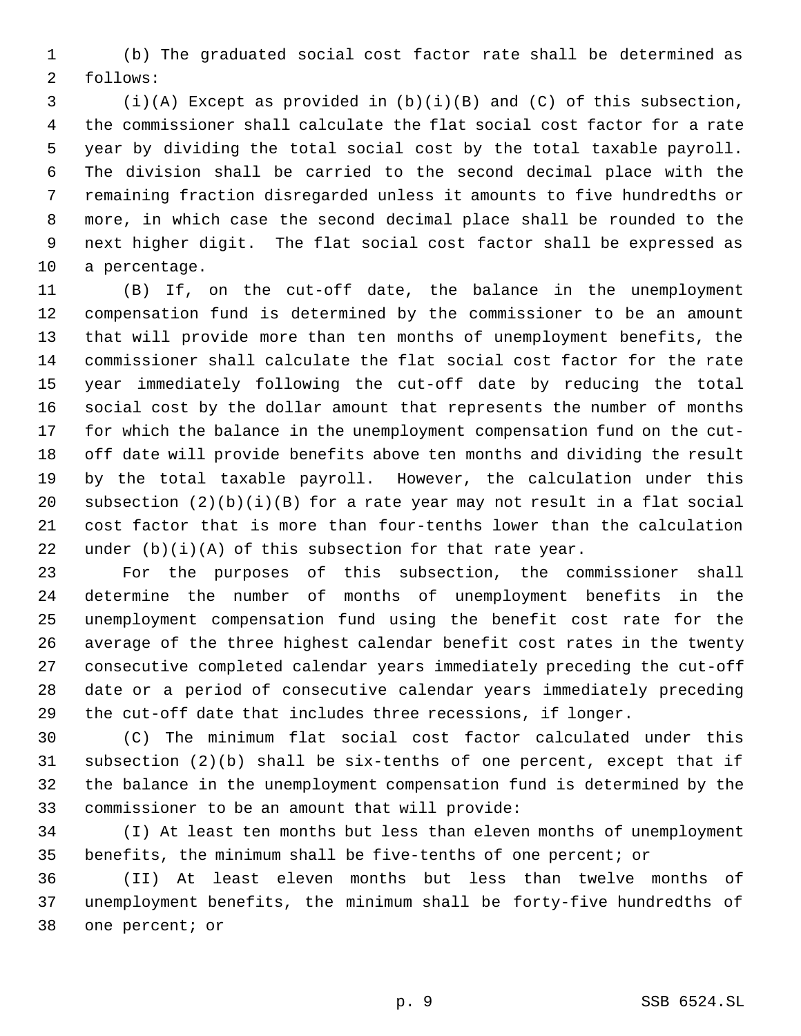(b) The graduated social cost factor rate shall be determined as follows:

 (i)(A) Except as provided in (b)(i)(B) and (C) of this subsection, the commissioner shall calculate the flat social cost factor for a rate year by dividing the total social cost by the total taxable payroll. The division shall be carried to the second decimal place with the remaining fraction disregarded unless it amounts to five hundredths or more, in which case the second decimal place shall be rounded to the next higher digit. The flat social cost factor shall be expressed as a percentage.

 (B) If, on the cut-off date, the balance in the unemployment compensation fund is determined by the commissioner to be an amount that will provide more than ten months of unemployment benefits, the commissioner shall calculate the flat social cost factor for the rate year immediately following the cut-off date by reducing the total social cost by the dollar amount that represents the number of months for which the balance in the unemployment compensation fund on the cut- off date will provide benefits above ten months and dividing the result by the total taxable payroll. However, the calculation under this subsection (2)(b)(i)(B) for a rate year may not result in a flat social cost factor that is more than four-tenths lower than the calculation 22 under  $(b)(i)(A)$  of this subsection for that rate year.

 For the purposes of this subsection, the commissioner shall determine the number of months of unemployment benefits in the unemployment compensation fund using the benefit cost rate for the average of the three highest calendar benefit cost rates in the twenty consecutive completed calendar years immediately preceding the cut-off date or a period of consecutive calendar years immediately preceding the cut-off date that includes three recessions, if longer.

 (C) The minimum flat social cost factor calculated under this subsection (2)(b) shall be six-tenths of one percent, except that if the balance in the unemployment compensation fund is determined by the commissioner to be an amount that will provide:

 (I) At least ten months but less than eleven months of unemployment benefits, the minimum shall be five-tenths of one percent; or

 (II) At least eleven months but less than twelve months of unemployment benefits, the minimum shall be forty-five hundredths of one percent; or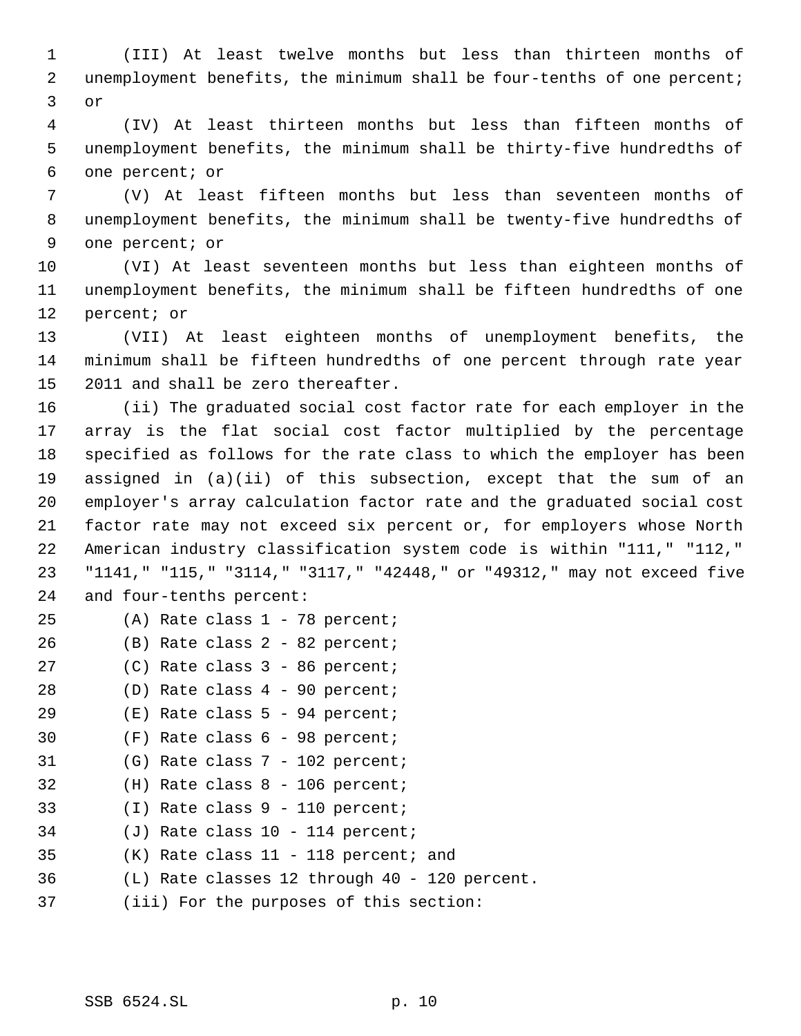(III) At least twelve months but less than thirteen months of 2 unemployment benefits, the minimum shall be four-tenths of one percent; or

 (IV) At least thirteen months but less than fifteen months of unemployment benefits, the minimum shall be thirty-five hundredths of one percent; or

 (V) At least fifteen months but less than seventeen months of unemployment benefits, the minimum shall be twenty-five hundredths of one percent; or

 (VI) At least seventeen months but less than eighteen months of unemployment benefits, the minimum shall be fifteen hundredths of one percent; or

 (VII) At least eighteen months of unemployment benefits, the minimum shall be fifteen hundredths of one percent through rate year 2011 and shall be zero thereafter.

 (ii) The graduated social cost factor rate for each employer in the array is the flat social cost factor multiplied by the percentage specified as follows for the rate class to which the employer has been assigned in (a)(ii) of this subsection, except that the sum of an employer's array calculation factor rate and the graduated social cost factor rate may not exceed six percent or, for employers whose North American industry classification system code is within "111," "112," "1141," "115," "3114," "3117," "42448," or "49312," may not exceed five and four-tenths percent:

| 25 |  |  |  |  |  |  | $(A)$ Rate class 1 - 78 percent; |
|----|--|--|--|--|--|--|----------------------------------|
|----|--|--|--|--|--|--|----------------------------------|

| 26 |  |  |  |  |  | (B) Rate class 2 - 82 percent; |
|----|--|--|--|--|--|--------------------------------|
|----|--|--|--|--|--|--------------------------------|

- (C) Rate class 3 86 percent;
- (D) Rate class 4 90 percent;
- (E) Rate class 5 94 percent;
- (F) Rate class 6 98 percent;
- (G) Rate class 7 102 percent;
- (H) Rate class 8 106 percent;
- (I) Rate class 9 110 percent;
- (J) Rate class 10 114 percent;
- (K) Rate class 11 118 percent; and
- (L) Rate classes 12 through 40 120 percent.
- (iii) For the purposes of this section: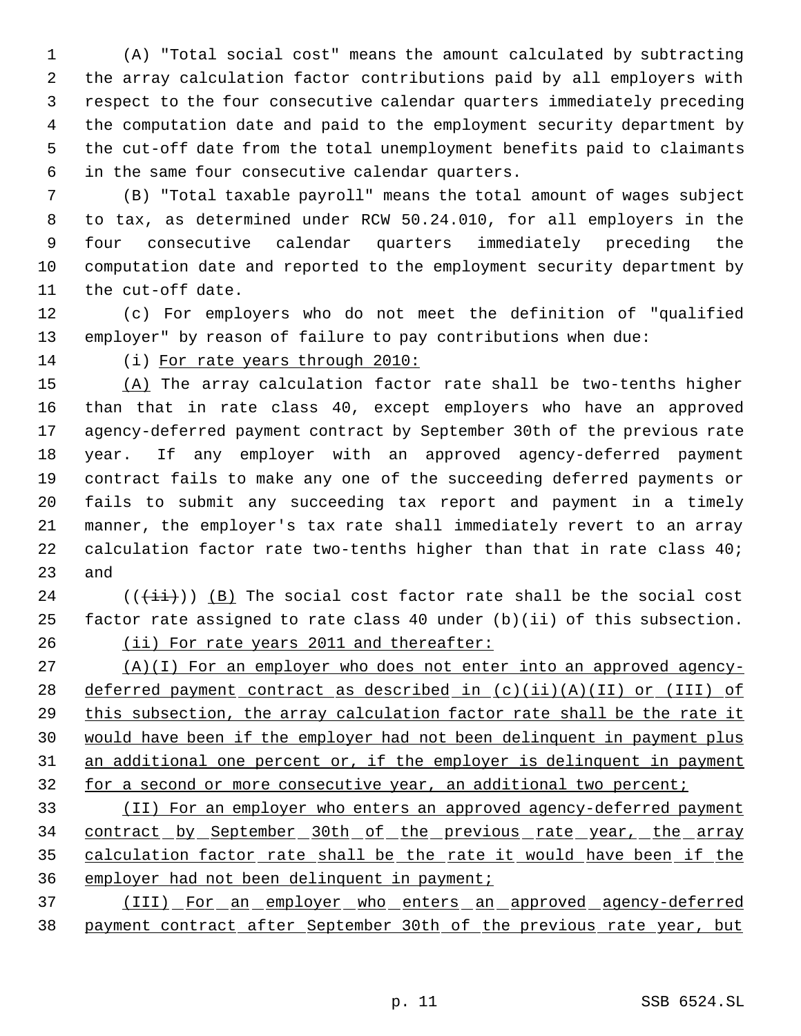(A) "Total social cost" means the amount calculated by subtracting the array calculation factor contributions paid by all employers with respect to the four consecutive calendar quarters immediately preceding the computation date and paid to the employment security department by the cut-off date from the total unemployment benefits paid to claimants in the same four consecutive calendar quarters.

 (B) "Total taxable payroll" means the total amount of wages subject to tax, as determined under RCW 50.24.010, for all employers in the four consecutive calendar quarters immediately preceding the computation date and reported to the employment security department by the cut-off date.

 (c) For employers who do not meet the definition of "qualified employer" by reason of failure to pay contributions when due:

(i) For rate years through 2010:

 (A) The array calculation factor rate shall be two-tenths higher than that in rate class 40, except employers who have an approved agency-deferred payment contract by September 30th of the previous rate year. If any employer with an approved agency-deferred payment contract fails to make any one of the succeeding deferred payments or fails to submit any succeeding tax report and payment in a timely manner, the employer's tax rate shall immediately revert to an array 22 calculation factor rate two-tenths higher than that in rate class 40; and

 (( $(\overrightarrow{\pm i})$ ) (B) The social cost factor rate shall be the social cost factor rate assigned to rate class 40 under (b)(ii) of this subsection. 26 (ii) For rate years 2011 and thereafter:

 $( A)(I)$  For an employer who does not enter into an approved agency-28 deferred payment contract as described in (c)(ii)(A)(II) or (III) of this subsection, the array calculation factor rate shall be the rate it would have been if the employer had not been delinquent in payment plus 31 an additional one percent or, if the employer is delinquent in payment 32 for a second or more consecutive year, an additional two percent;

 (II) For an employer who enters an approved agency-deferred payment 34 contract by September 30th of the previous rate year, the array calculation factor rate shall be the rate it would have been if the employer had not been delinquent in payment;

 (III) For an employer who enters an approved agency-deferred payment contract after September 30th of the previous rate year, but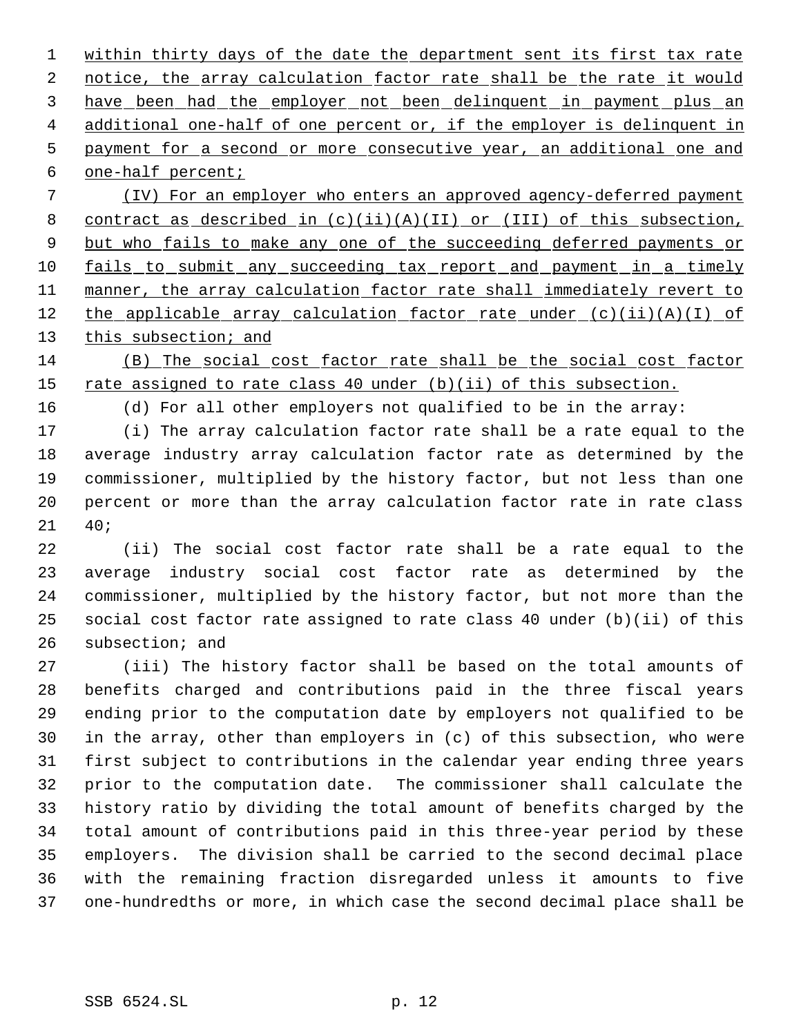1 within thirty days of the date the department sent its first tax rate 2 notice, the array calculation factor rate shall be the rate it would have been had the employer not been delinquent in payment plus an additional one-half of one percent or, if the employer is delinquent in payment for a second or more consecutive year, an additional one and one-half percent;

 (IV) For an employer who enters an approved agency-deferred payment contract as described in (c)(ii)(A)(II) or (III) of this subsection, 9 but who fails to make any one of the succeeding deferred payments or 10 fails to submit any succeeding tax report and payment in a timely 11 manner, the array calculation factor rate shall immediately revert to 12 the applicable array calculation factor rate under  $(c)(ii)(A)(I)$  of 13 this subsection; and

 (B) The social cost factor rate shall be the social cost factor 15 rate assigned to rate class 40 under (b)(ii) of this subsection.

(d) For all other employers not qualified to be in the array:

 (i) The array calculation factor rate shall be a rate equal to the average industry array calculation factor rate as determined by the commissioner, multiplied by the history factor, but not less than one percent or more than the array calculation factor rate in rate class 40;

 (ii) The social cost factor rate shall be a rate equal to the average industry social cost factor rate as determined by the commissioner, multiplied by the history factor, but not more than the social cost factor rate assigned to rate class 40 under (b)(ii) of this subsection; and

 (iii) The history factor shall be based on the total amounts of benefits charged and contributions paid in the three fiscal years ending prior to the computation date by employers not qualified to be in the array, other than employers in (c) of this subsection, who were first subject to contributions in the calendar year ending three years prior to the computation date. The commissioner shall calculate the history ratio by dividing the total amount of benefits charged by the total amount of contributions paid in this three-year period by these employers. The division shall be carried to the second decimal place with the remaining fraction disregarded unless it amounts to five one-hundredths or more, in which case the second decimal place shall be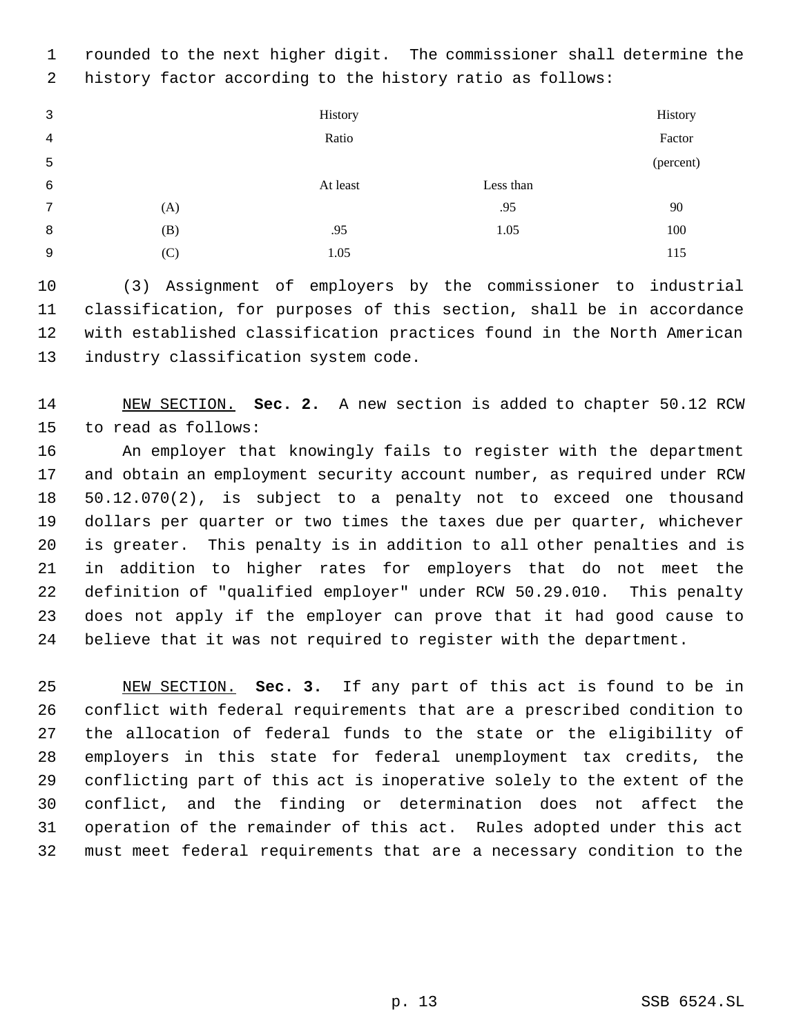rounded to the next higher digit. The commissioner shall determine the history factor according to the history ratio as follows:

| 3 |     | History  |           | History   |
|---|-----|----------|-----------|-----------|
| 4 |     | Ratio    |           | Factor    |
| 5 |     |          |           | (percent) |
| 6 |     | At least | Less than |           |
| 7 | (A) |          | .95       | 90        |
| 8 | (B) | .95      | 1.05      | 100       |
| 9 | (C) | 1.05     |           | 115       |

 (3) Assignment of employers by the commissioner to industrial classification, for purposes of this section, shall be in accordance with established classification practices found in the North American industry classification system code.

 NEW SECTION. **Sec. 2.** A new section is added to chapter 50.12 RCW to read as follows:

 An employer that knowingly fails to register with the department and obtain an employment security account number, as required under RCW 50.12.070(2), is subject to a penalty not to exceed one thousand dollars per quarter or two times the taxes due per quarter, whichever is greater. This penalty is in addition to all other penalties and is in addition to higher rates for employers that do not meet the definition of "qualified employer" under RCW 50.29.010. This penalty does not apply if the employer can prove that it had good cause to believe that it was not required to register with the department.

 NEW SECTION. **Sec. 3.** If any part of this act is found to be in conflict with federal requirements that are a prescribed condition to the allocation of federal funds to the state or the eligibility of employers in this state for federal unemployment tax credits, the conflicting part of this act is inoperative solely to the extent of the conflict, and the finding or determination does not affect the operation of the remainder of this act. Rules adopted under this act must meet federal requirements that are a necessary condition to the